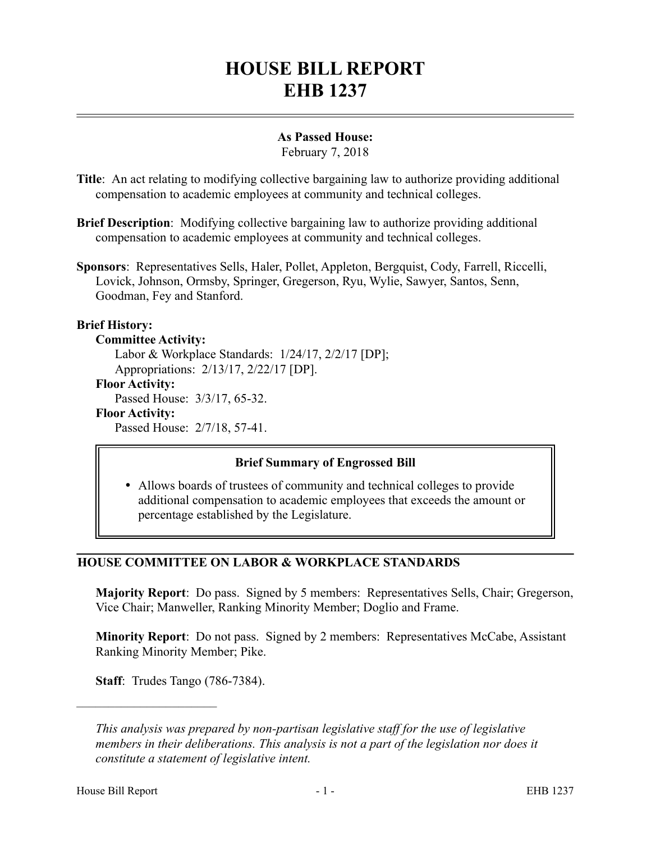# **HOUSE BILL REPORT EHB 1237**

## **As Passed House:**

February 7, 2018

- **Title**: An act relating to modifying collective bargaining law to authorize providing additional compensation to academic employees at community and technical colleges.
- **Brief Description**: Modifying collective bargaining law to authorize providing additional compensation to academic employees at community and technical colleges.
- **Sponsors**: Representatives Sells, Haler, Pollet, Appleton, Bergquist, Cody, Farrell, Riccelli, Lovick, Johnson, Ormsby, Springer, Gregerson, Ryu, Wylie, Sawyer, Santos, Senn, Goodman, Fey and Stanford.

## **Brief History:**

#### **Committee Activity:**

Labor & Workplace Standards: 1/24/17, 2/2/17 [DP];

Appropriations: 2/13/17, 2/22/17 [DP].

# **Floor Activity:**

Passed House: 3/3/17, 65-32.

#### **Floor Activity:**

Passed House: 2/7/18, 57-41.

## **Brief Summary of Engrossed Bill**

 Allows boards of trustees of community and technical colleges to provide additional compensation to academic employees that exceeds the amount or percentage established by the Legislature.

## **HOUSE COMMITTEE ON LABOR & WORKPLACE STANDARDS**

**Majority Report**: Do pass. Signed by 5 members: Representatives Sells, Chair; Gregerson, Vice Chair; Manweller, Ranking Minority Member; Doglio and Frame.

**Minority Report**: Do not pass. Signed by 2 members: Representatives McCabe, Assistant Ranking Minority Member; Pike.

**Staff**: Trudes Tango (786-7384).

––––––––––––––––––––––

*This analysis was prepared by non-partisan legislative staff for the use of legislative members in their deliberations. This analysis is not a part of the legislation nor does it constitute a statement of legislative intent.*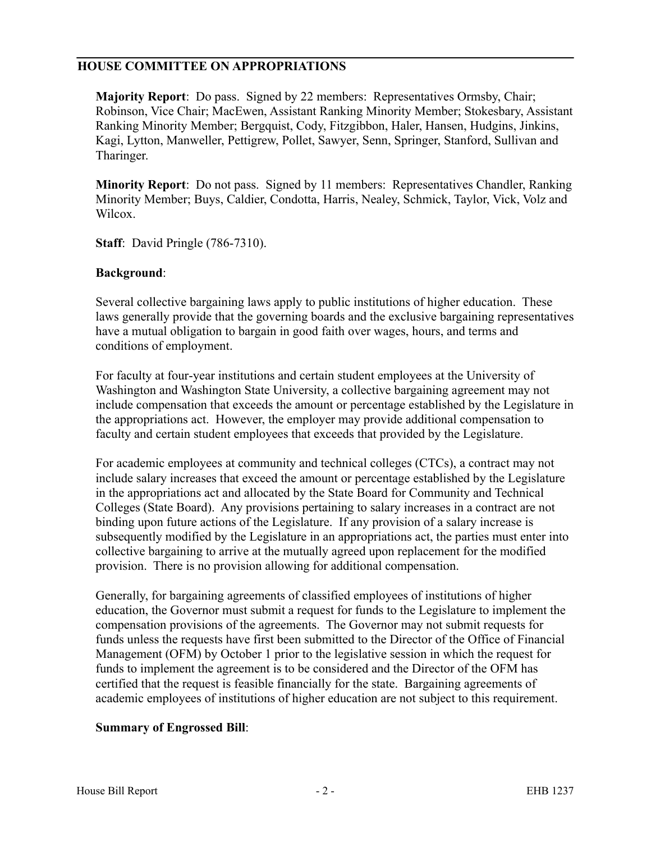#### **HOUSE COMMITTEE ON APPROPRIATIONS**

**Majority Report**: Do pass. Signed by 22 members: Representatives Ormsby, Chair; Robinson, Vice Chair; MacEwen, Assistant Ranking Minority Member; Stokesbary, Assistant Ranking Minority Member; Bergquist, Cody, Fitzgibbon, Haler, Hansen, Hudgins, Jinkins, Kagi, Lytton, Manweller, Pettigrew, Pollet, Sawyer, Senn, Springer, Stanford, Sullivan and Tharinger.

**Minority Report**: Do not pass. Signed by 11 members: Representatives Chandler, Ranking Minority Member; Buys, Caldier, Condotta, Harris, Nealey, Schmick, Taylor, Vick, Volz and Wilcox.

**Staff**: David Pringle (786-7310).

#### **Background**:

Several collective bargaining laws apply to public institutions of higher education. These laws generally provide that the governing boards and the exclusive bargaining representatives have a mutual obligation to bargain in good faith over wages, hours, and terms and conditions of employment.

For faculty at four-year institutions and certain student employees at the University of Washington and Washington State University, a collective bargaining agreement may not include compensation that exceeds the amount or percentage established by the Legislature in the appropriations act. However, the employer may provide additional compensation to faculty and certain student employees that exceeds that provided by the Legislature.

For academic employees at community and technical colleges (CTCs), a contract may not include salary increases that exceed the amount or percentage established by the Legislature in the appropriations act and allocated by the State Board for Community and Technical Colleges (State Board). Any provisions pertaining to salary increases in a contract are not binding upon future actions of the Legislature. If any provision of a salary increase is subsequently modified by the Legislature in an appropriations act, the parties must enter into collective bargaining to arrive at the mutually agreed upon replacement for the modified provision. There is no provision allowing for additional compensation.

Generally, for bargaining agreements of classified employees of institutions of higher education, the Governor must submit a request for funds to the Legislature to implement the compensation provisions of the agreements. The Governor may not submit requests for funds unless the requests have first been submitted to the Director of the Office of Financial Management (OFM) by October 1 prior to the legislative session in which the request for funds to implement the agreement is to be considered and the Director of the OFM has certified that the request is feasible financially for the state. Bargaining agreements of academic employees of institutions of higher education are not subject to this requirement.

#### **Summary of Engrossed Bill**: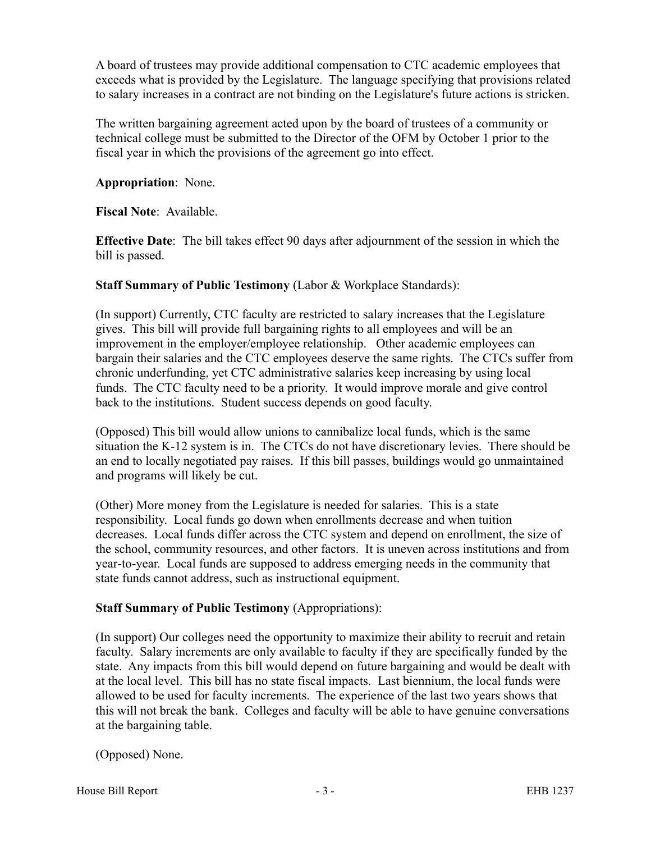A board of trustees may provide additional compensation to CTC academic employees that exceeds what is provided by the Legislature. The language specifying that provisions related to salary increases in a contract are not binding on the Legislature's future actions is stricken.

The written bargaining agreement acted upon by the board of trustees of a community or technical college must be submitted to the Director of the OFM by October 1 prior to the fiscal year in which the provisions of the agreement go into effect.

**Appropriation**: None.

**Fiscal Note**: Available.

**Effective Date**: The bill takes effect 90 days after adjournment of the session in which the bill is passed.

**Staff Summary of Public Testimony** (Labor & Workplace Standards):

(In support) Currently, CTC faculty are restricted to salary increases that the Legislature gives. This bill will provide full bargaining rights to all employees and will be an improvement in the employer/employee relationship. Other academic employees can bargain their salaries and the CTC employees deserve the same rights. The CTCs suffer from chronic underfunding, yet CTC administrative salaries keep increasing by using local funds. The CTC faculty need to be a priority. It would improve morale and give control back to the institutions. Student success depends on good faculty.

(Opposed) This bill would allow unions to cannibalize local funds, which is the same situation the K-12 system is in. The CTCs do not have discretionary levies. There should be an end to locally negotiated pay raises. If this bill passes, buildings would go unmaintained and programs will likely be cut.

(Other) More money from the Legislature is needed for salaries. This is a state responsibility. Local funds go down when enrollments decrease and when tuition decreases. Local funds differ across the CTC system and depend on enrollment, the size of the school, community resources, and other factors. It is uneven across institutions and from year-to-year. Local funds are supposed to address emerging needs in the community that state funds cannot address, such as instructional equipment.

## **Staff Summary of Public Testimony** (Appropriations):

(In support) Our colleges need the opportunity to maximize their ability to recruit and retain faculty. Salary increments are only available to faculty if they are specifically funded by the state. Any impacts from this bill would depend on future bargaining and would be dealt with at the local level. This bill has no state fiscal impacts. Last biennium, the local funds were allowed to be used for faculty increments. The experience of the last two years shows that this will not break the bank. Colleges and faculty will be able to have genuine conversations at the bargaining table.

(Opposed) None.